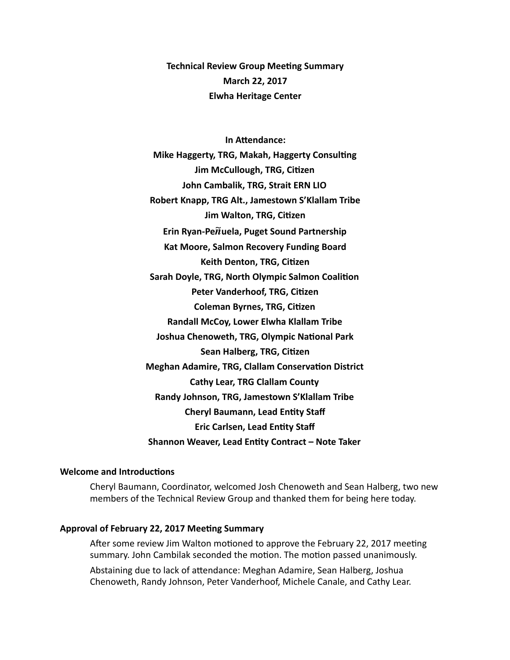**Technical Review Group Meeting Summary March 22, 2017 Elwha Heritage Center** 

**In Attendance: Mike Haggerty, TRG, Makah, Haggerty Consulting Jim McCullough, TRG, Citizen John Cambalik, TRG, Strait ERN LIO** Robert Knapp, TRG Alt., Jamestown S'Klallam Tribe **Jim Walton, TRG, Citizen** Erin Ryan-Pe $\widetilde{n}$ uela, Puget Sound Partnership **Kat Moore, Salmon Recovery Funding Board Keith Denton, TRG, Citizen Sarah Doyle, TRG, North Olympic Salmon Coalition Peter Vanderhoof, TRG, Citizen Coleman Byrnes, TRG, Citizen Randall McCoy, Lower Elwha Klallam Tribe Joshua Chenoweth, TRG, Olympic National Park Sean Halberg, TRG, Citizen Meghan Adamire, TRG, Clallam Conservation District Cathy Lear, TRG Clallam County** Randy Johnson, TRG, Jamestown S'Klallam Tribe **Cheryl Baumann, Lead Entity Staff Eric Carlsen, Lead Entity Staff Shannon Weaver, Lead Entity Contract - Note Taker** 

# **Welcome and Introductions**

Cheryl Baumann, Coordinator, welcomed Josh Chenoweth and Sean Halberg, two new members of the Technical Review Group and thanked them for being here today.

## Approval of February 22, 2017 Meeting Summary

After some review Jim Walton motioned to approve the February 22, 2017 meeting summary. John Cambilak seconded the motion. The motion passed unanimously.

Abstaining due to lack of attendance: Meghan Adamire, Sean Halberg, Joshua Chenoweth, Randy Johnson, Peter Vanderhoof, Michele Canale, and Cathy Lear.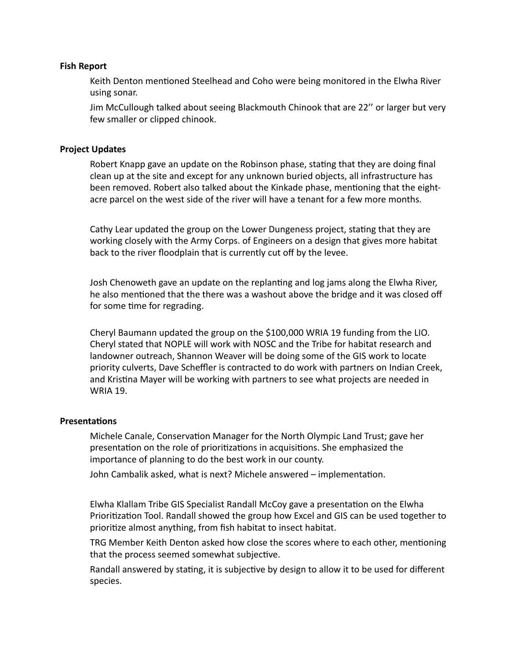# **Fish Report**

Keith Denton mentioned Steelhead and Coho were being monitored in the Elwha River using sonar.

Jim McCullough talked about seeing Blackmouth Chinook that are 22" or larger but very few smaller or clipped chinook.

# **Project Updates**

Robert Knapp gave an update on the Robinson phase, stating that they are doing final clean up at the site and except for any unknown buried objects, all infrastructure has been removed. Robert also talked about the Kinkade phase, mentioning that the eightacre parcel on the west side of the river will have a tenant for a few more months.

Cathy Lear updated the group on the Lower Dungeness project, stating that they are working closely with the Army Corps. of Engineers on a design that gives more habitat back to the river floodplain that is currently cut off by the levee.

Josh Chenoweth gave an update on the replanting and log jams along the Elwha River, he also mentioned that the there was a washout above the bridge and it was closed off for some time for regrading.

Cheryl Baumann updated the group on the \$100,000 WRIA 19 funding from the LIO. Cheryl stated that NOPLE will work with NOSC and the Tribe for habitat research and landowner outreach, Shannon Weaver will be doing some of the GIS work to locate priority culverts, Dave Scheffler is contracted to do work with partners on Indian Creek, and Kristina Mayer will be working with partners to see what projects are needed in **WRIA 19.** 

# **Presentations**

Michele Canale, Conservation Manager for the North Olympic Land Trust; gave her presentation on the role of prioritizations in acquisitions. She emphasized the importance of planning to do the best work in our county.

John Cambalik asked, what is next? Michele answered – implementation.

Elwha Klallam Tribe GIS Specialist Randall McCoy gave a presentation on the Elwha Prioritization Tool. Randall showed the group how Excel and GIS can be used together to prioritize almost anything, from fish habitat to insect habitat.

TRG Member Keith Denton asked how close the scores where to each other, mentioning that the process seemed somewhat subjective.

Randall answered by stating, it is subjective by design to allow it to be used for different species.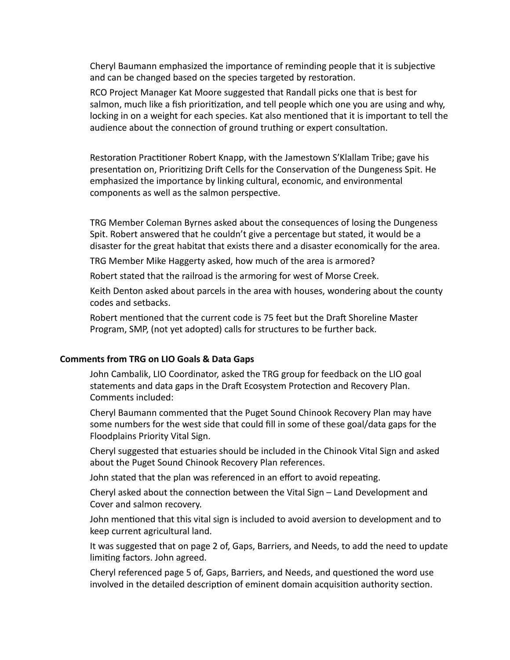Cheryl Baumann emphasized the importance of reminding people that it is subjective and can be changed based on the species targeted by restoration.

RCO Project Manager Kat Moore suggested that Randall picks one that is best for salmon, much like a fish prioritization, and tell people which one you are using and why, locking in on a weight for each species. Kat also mentioned that it is important to tell the audience about the connection of ground truthing or expert consultation.

Restoration Practitioner Robert Knapp, with the Jamestown S'Klallam Tribe; gave his presentation on, Prioritizing Drift Cells for the Conservation of the Dungeness Spit. He emphasized the importance by linking cultural, economic, and environmental components as well as the salmon perspective.

TRG Member Coleman Byrnes asked about the consequences of losing the Dungeness Spit. Robert answered that he couldn't give a percentage but stated, it would be a disaster for the great habitat that exists there and a disaster economically for the area.

TRG Member Mike Haggerty asked, how much of the area is armored?

Robert stated that the railroad is the armoring for west of Morse Creek.

Keith Denton asked about parcels in the area with houses, wondering about the county codes and setbacks. 

Robert mentioned that the current code is 75 feet but the Draft Shoreline Master Program, SMP, (not yet adopted) calls for structures to be further back.

# **Comments from TRG on LIO Goals & Data Gaps**

John Cambalik, LIO Coordinator, asked the TRG group for feedback on the LIO goal statements and data gaps in the Draft Ecosystem Protection and Recovery Plan. Comments included:

Cheryl Baumann commented that the Puget Sound Chinook Recovery Plan may have some numbers for the west side that could fill in some of these goal/data gaps for the Floodplains Priority Vital Sign.

Cheryl suggested that estuaries should be included in the Chinook Vital Sign and asked about the Puget Sound Chinook Recovery Plan references.

John stated that the plan was referenced in an effort to avoid repeating.

Cheryl asked about the connection between the Vital Sign – Land Development and Cover and salmon recovery.

John mentioned that this vital sign is included to avoid aversion to development and to keep current agricultural land.

It was suggested that on page 2 of, Gaps, Barriers, and Needs, to add the need to update limiting factors. John agreed.

Cheryl referenced page 5 of, Gaps, Barriers, and Needs, and questioned the word use involved in the detailed description of eminent domain acquisition authority section.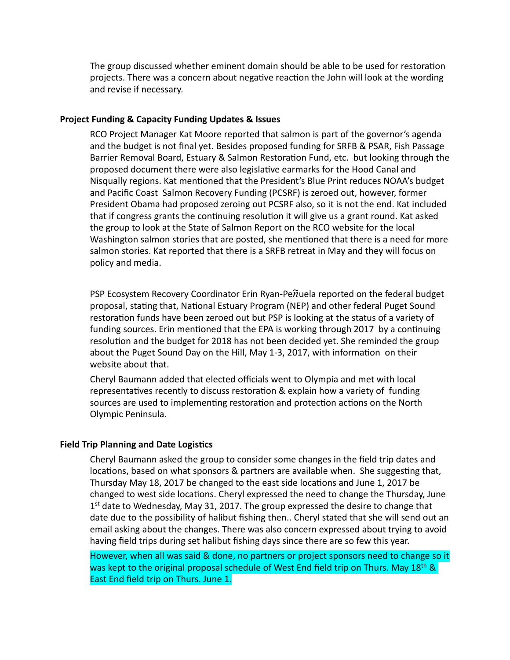The group discussed whether eminent domain should be able to be used for restoration projects. There was a concern about negative reaction the John will look at the wording and revise if necessary.

## **Project Funding & Capacity Funding Updates & Issues**

RCO Project Manager Kat Moore reported that salmon is part of the governor's agenda and the budget is not final yet. Besides proposed funding for SRFB & PSAR, Fish Passage Barrier Removal Board, Estuary & Salmon Restoration Fund, etc. but looking through the proposed document there were also legislative earmarks for the Hood Canal and Nisqually regions. Kat mentioned that the President's Blue Print reduces NOAA's budget and Pacific Coast Salmon Recovery Funding (PCSRF) is zeroed out, however, former President Obama had proposed zeroing out PCSRF also, so it is not the end. Kat included that if congress grants the continuing resolution it will give us a grant round. Kat asked the group to look at the State of Salmon Report on the RCO website for the local Washington salmon stories that are posted, she mentioned that there is a need for more salmon stories. Kat reported that there is a SRFB retreat in May and they will focus on policy and media. 

PSP Ecosystem Recovery Coordinator Erin Ryan-Pe $\widetilde{n}$ uela reported on the federal budget proposal, stating that, National Estuary Program (NEP) and other federal Puget Sound restoration funds have been zeroed out but PSP is looking at the status of a variety of funding sources. Erin mentioned that the EPA is working through 2017 by a continuing resolution and the budget for 2018 has not been decided yet. She reminded the group about the Puget Sound Day on the Hill, May 1-3, 2017, with information on their website about that.

Cheryl Baumann added that elected officials went to Olympia and met with local representatives recently to discuss restoration & explain how a variety of funding sources are used to implementing restoration and protection actions on the North Olympic Peninsula. 

#### **Field Trip Planning and Date Logistics**

Cheryl Baumann asked the group to consider some changes in the field trip dates and locations, based on what sponsors & partners are available when. She suggesting that, Thursday May 18, 2017 be changed to the east side locations and June 1, 2017 be changed to west side locations. Cheryl expressed the need to change the Thursday, June  $1<sup>st</sup>$  date to Wednesday, May 31, 2017. The group expressed the desire to change that date due to the possibility of halibut fishing then.. Cheryl stated that she will send out an email asking about the changes. There was also concern expressed about trying to avoid having field trips during set halibut fishing days since there are so few this year.

However, when all was said & done, no partners or project sponsors need to change so it was kept to the original proposal schedule of West End field trip on Thurs. May 18<sup>th</sup> & East End field trip on Thurs. June 1.